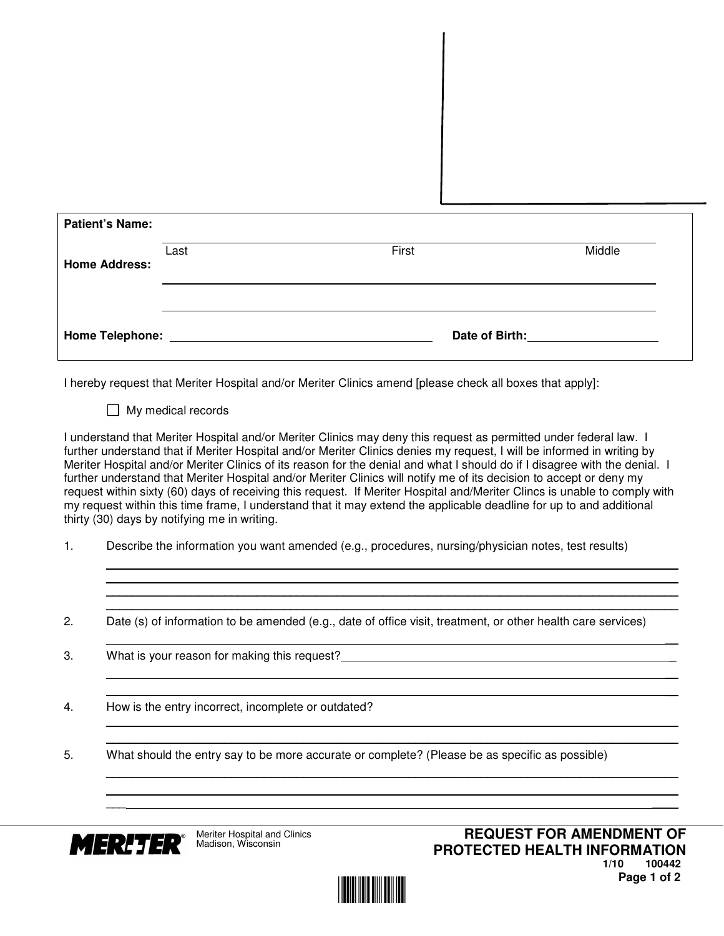| <b>Patient's Name:</b> |      |                |        |
|------------------------|------|----------------|--------|
| <b>Home Address:</b>   | Last | First          | Middle |
| <b>Home Telephone:</b> |      | Date of Birth: |        |

I hereby request that Meriter Hospital and/or Meriter Clinics amend [please check all boxes that apply]:

 $\Box$  My medical records

I understand that Meriter Hospital and/or Meriter Clinics may deny this request as permitted under federal law. I further understand that if Meriter Hospital and/or Meriter Clinics denies my request, I will be informed in writing by Meriter Hospital and/or Meriter Clinics of its reason for the denial and what I should do if I disagree with the denial. I further understand that Meriter Hospital and/or Meriter Clinics will notify me of its decision to accept or deny my request within sixty (60) days of receiving this request. If Meriter Hospital and/Meriter Clincs is unable to comply with my request within this time frame, I understand that it may extend the applicable deadline for up to and additional thirty (30) days by notifying me in writing.

 \_\_\_\_\_\_\_\_\_\_\_\_\_\_\_\_\_\_\_\_\_\_\_\_\_\_\_\_\_\_\_\_\_\_\_\_\_\_\_\_\_\_\_\_\_\_\_\_\_\_\_\_\_\_\_\_\_\_\_\_\_\_\_\_\_\_\_\_\_\_\_\_\_\_\_\_\_\_\_\_\_\_\_\_\_\_\_ \_\_\_\_\_\_\_\_\_\_\_\_\_\_\_\_\_\_\_\_\_\_\_\_\_\_\_\_\_\_\_\_\_\_\_\_\_\_\_\_\_\_\_\_\_\_\_\_\_\_\_\_\_\_\_\_\_\_\_\_\_\_\_\_\_\_\_\_\_\_\_\_\_\_\_\_\_\_\_\_\_\_\_\_\_\_\_ \_\_\_\_\_\_\_\_\_\_\_\_\_\_\_\_\_\_\_\_\_\_\_\_\_\_\_\_\_\_\_\_\_\_\_\_\_\_\_\_\_\_\_\_\_\_\_\_\_\_\_\_\_\_\_\_\_\_\_\_\_\_\_\_\_\_\_\_\_\_\_\_\_\_\_\_\_\_\_\_\_\_\_\_\_\_\_ \_\_\_\_\_\_\_\_\_\_\_\_\_\_\_\_\_\_\_\_\_\_\_\_\_\_\_\_\_\_\_\_\_\_\_\_\_\_\_\_\_\_\_\_\_\_\_\_\_\_\_\_\_\_\_\_\_\_\_\_\_\_\_\_\_\_\_\_\_\_\_\_\_\_\_\_\_\_\_\_\_\_\_\_\_\_\_

\_\_

\_\_

 $\overline{\phantom{a}}$  ,  $\overline{\phantom{a}}$  ,  $\overline{\phantom{a}}$  ,  $\overline{\phantom{a}}$  ,  $\overline{\phantom{a}}$  ,  $\overline{\phantom{a}}$  ,  $\overline{\phantom{a}}$  ,  $\overline{\phantom{a}}$  ,  $\overline{\phantom{a}}$  ,  $\overline{\phantom{a}}$  ,  $\overline{\phantom{a}}$  ,  $\overline{\phantom{a}}$  ,  $\overline{\phantom{a}}$  ,  $\overline{\phantom{a}}$  ,  $\overline{\phantom{a}}$  ,  $\overline{\phantom{a}}$ 

 \_\_\_\_\_\_\_\_\_\_\_\_\_\_\_\_\_\_\_\_\_\_\_\_\_\_\_\_\_\_\_\_\_\_\_\_\_\_\_\_\_\_\_\_\_\_\_\_\_\_\_\_\_\_\_\_\_\_\_\_\_\_\_\_\_\_\_\_\_\_\_\_\_\_\_\_\_\_\_\_\_\_\_\_\_\_\_ \_\_  $\mathcal{L} = \mathcal{L} \mathcal{L}$  , where  $\mathcal{L} = \mathcal{L} \mathcal{L}$  , we can assume that the set of  $\mathcal{L} = \mathcal{L} \mathcal{L}$ 

 $\_$  . The contribution of the contribution of the contribution of the contribution of the contribution of the contribution of  $\mathcal{L}_\text{max}$ 

- 1. Describe the information you want amended (e.g., procedures, nursing/physician notes, test results)
- 2. Date (s) of information to be amended (e.g., date of office visit, treatment, or other health care services)
- 3. What is your reason for making this request?
- 4. How is the entry incorrect, incomplete or outdated?
- 5. What should the entry say to be more accurate or complete? (Please be as specific as possible)



\_\_